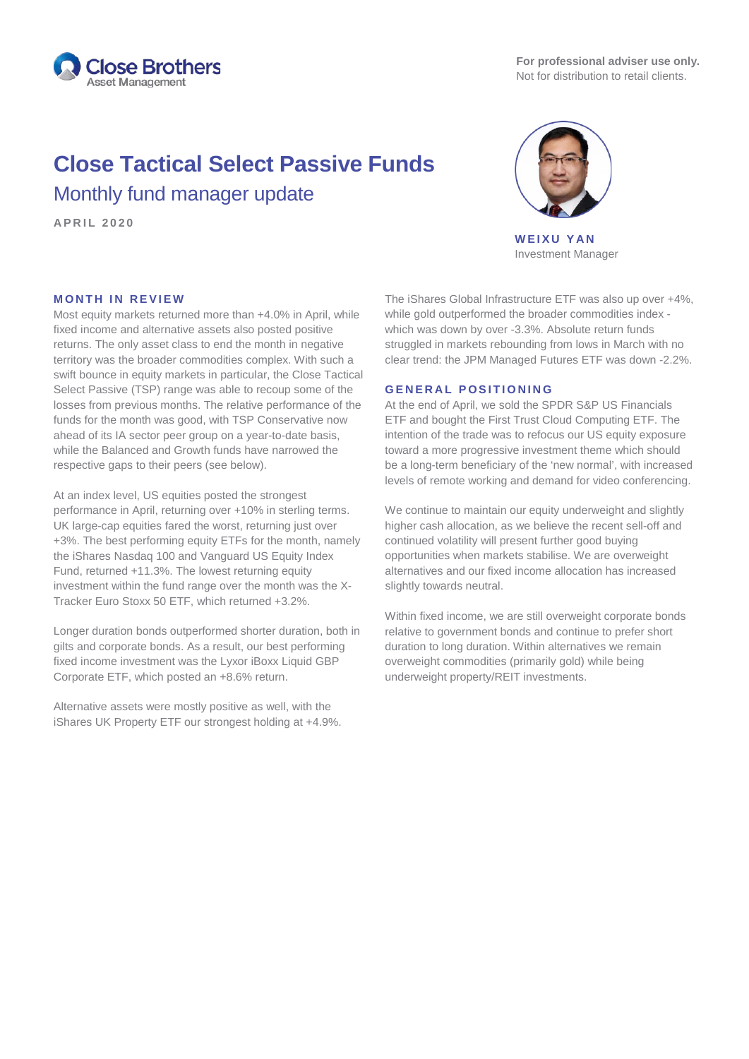

# **Close Tactical Select Passive Funds** Monthly fund manager update

**APRIL 2 0 2 0**



**WEIXU YAN** Investment Manager

# **MONTH IN REVIEW**

Most equity markets returned more than +4.0% in April, while fixed income and alternative assets also posted positive returns. The only asset class to end the month in negative territory was the broader commodities complex. With such a swift bounce in equity markets in particular, the Close Tactical Select Passive (TSP) range was able to recoup some of the losses from previous months. The relative performance of the funds for the month was good, with TSP Conservative now ahead of its IA sector peer group on a year-to-date basis, while the Balanced and Growth funds have narrowed the respective gaps to their peers (see below).

At an index level, US equities posted the strongest performance in April, returning over +10% in sterling terms. UK large-cap equities fared the worst, returning just over +3%. The best performing equity ETFs for the month, namely the iShares Nasdaq 100 and Vanguard US Equity Index Fund, returned +11.3%. The lowest returning equity investment within the fund range over the month was the X-Tracker Euro Stoxx 50 ETF, which returned +3.2%.

Longer duration bonds outperformed shorter duration, both in gilts and corporate bonds. As a result, our best performing fixed income investment was the Lyxor iBoxx Liquid GBP Corporate ETF, which posted an +8.6% return.

Alternative assets were mostly positive as well, with the iShares UK Property ETF our strongest holding at +4.9%.

The iShares Global Infrastructure ETF was also up over +4%, while gold outperformed the broader commodities index which was down by over -3.3%. Absolute return funds struggled in markets rebounding from lows in March with no clear trend: the JPM Managed Futures ETF was down -2.2%.

#### **GENERAL POSITIONING**

At the end of April, we sold the SPDR S&P US Financials ETF and bought the First Trust Cloud Computing ETF. The intention of the trade was to refocus our US equity exposure toward a more progressive investment theme which should be a long-term beneficiary of the 'new normal', with increased levels of remote working and demand for video conferencing.

We continue to maintain our equity underweight and slightly higher cash allocation, as we believe the recent sell-off and continued volatility will present further good buying opportunities when markets stabilise. We are overweight alternatives and our fixed income allocation has increased slightly towards neutral.

Within fixed income, we are still overweight corporate bonds relative to government bonds and continue to prefer short duration to long duration. Within alternatives we remain overweight commodities (primarily gold) while being underweight property/REIT investments.